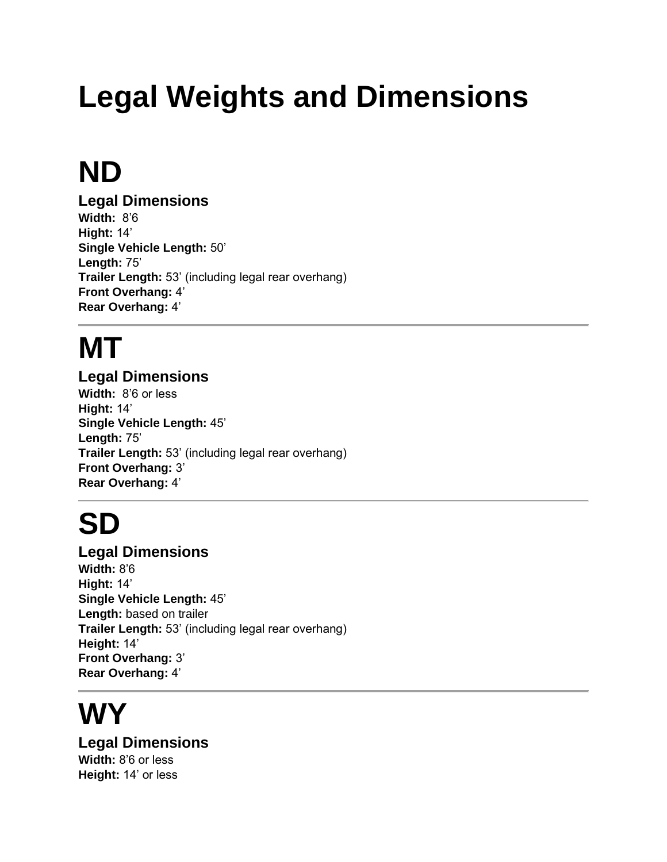# **Legal Weights and Dimensions**

### **ND**

**Legal Dimensions Width:** 8'6 **Hight:** 14' **Single Vehicle Length:** 50' **Length:** 75' **Trailer Length:** 53' (including legal rear overhang) **Front Overhang:** 4' **Rear Overhang:** 4'

# **MT**

#### **Legal Dimensions**

**Width:** 8'6 or less **Hight:** 14' **Single Vehicle Length:** 45' **Length:** 75' **Trailer Length:** 53' (including legal rear overhang) **Front Overhang:** 3' **Rear Overhang:** 4'

### **SD**

**Legal Dimensions Width:** 8'6 **Hight:** 14' **Single Vehicle Length:** 45' **Length:** based on trailer **Trailer Length:** 53' (including legal rear overhang) **Height:** 14' **Front Overhang:** 3' **Rear Overhang:** 4'

### **WY**

**Legal Dimensions Width:** 8'6 or less **Height:** 14' or less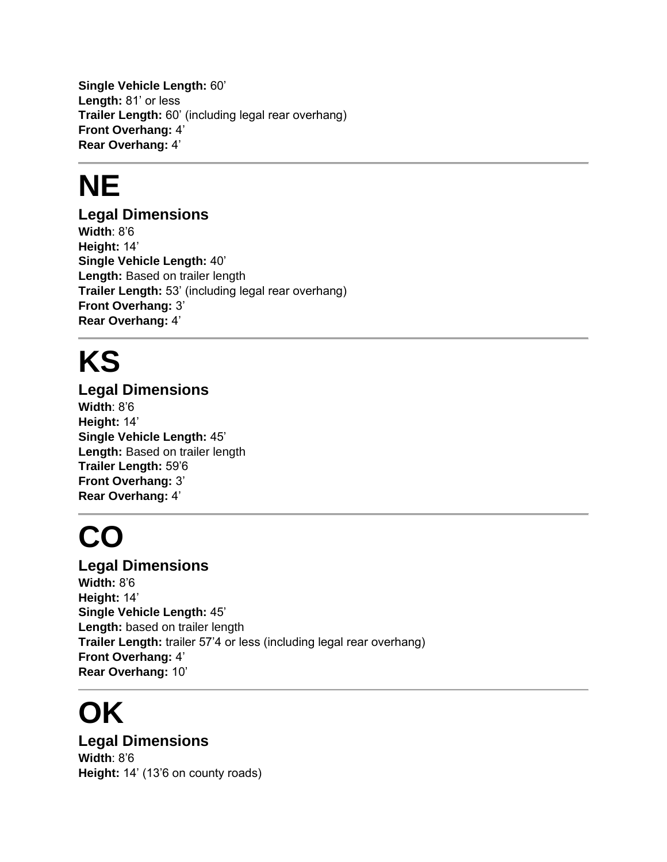**Single Vehicle Length:** 60' **Length:** 81' or less **Trailer Length:** 60' (including legal rear overhang) **Front Overhang:** 4' **Rear Overhang:** 4'

### **NE**

#### **Legal Dimensions**

**Width**: 8'6 **Height:** 14' **Single Vehicle Length:** 40' **Length:** Based on trailer length **Trailer Length:** 53' (including legal rear overhang) **Front Overhang:** 3' **Rear Overhang:** 4'

### **KS**

**Legal Dimensions Width**: 8'6 **Height:** 14' **Single Vehicle Length:** 45' **Length:** Based on trailer length **Trailer Length:** 59'6 **Front Overhang:** 3' **Rear Overhang:** 4'

### **CO**

**Legal Dimensions Width:** 8'6 **Height:** 14' **Single Vehicle Length:** 45' Length: based on trailer length **Trailer Length:** trailer 57'4 or less (including legal rear overhang) **Front Overhang:** 4' **Rear Overhang:** 10'

### **OK**

**Legal Dimensions Width**: 8'6 **Height:** 14' (13'6 on county roads)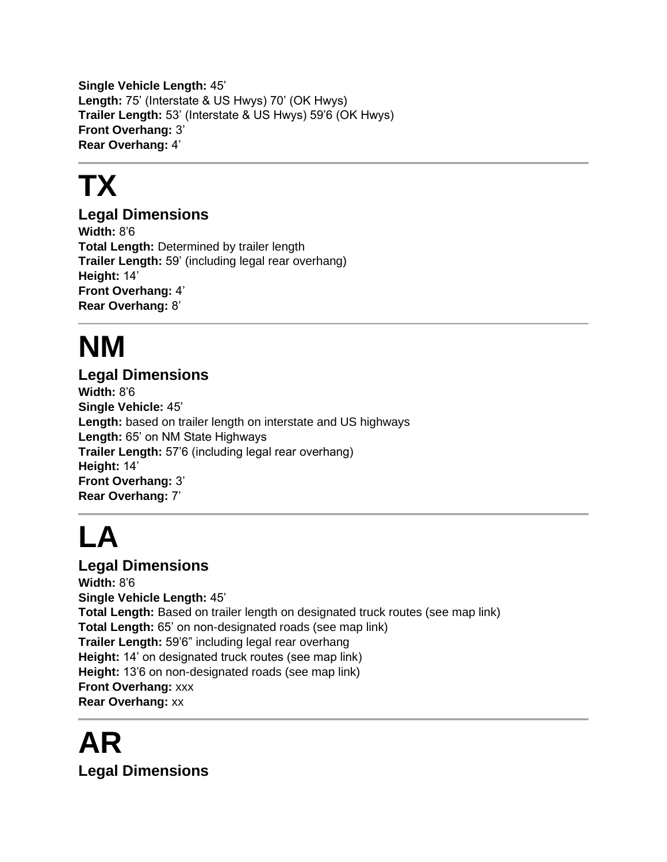**Single Vehicle Length:** 45' **Length:** 75' (Interstate & US Hwys) 70' (OK Hwys) **Trailer Length:** 53' (Interstate & US Hwys) 59'6 (OK Hwys) **Front Overhang:** 3' **Rear Overhang:** 4'

# **TX**

#### **Legal Dimensions**

**Width:** 8'6 **Total Length:** Determined by trailer length **Trailer Length:** 59' (including legal rear overhang) **Height:** 14' **Front Overhang:** 4' **Rear Overhang:** 8'

# **NM**

#### **Legal Dimensions**

**Width:** 8'6 **Single Vehicle:** 45' **Length:** based on trailer length on interstate and US highways **Length:** 65' on NM State Highways **Trailer Length:** 57'6 (including legal rear overhang) **Height:** 14' **Front Overhang:** 3' **Rear Overhang:** 7'

# **LA**

**Legal Dimensions Width:** 8'6 **Single Vehicle Length:** 45' **Total Length:** Based on trailer length on designated truck routes (see map link) **Total Length:** 65' on non-designated roads (see map link) **Trailer Length:** 59'6" including legal rear overhang **Height:** 14' on designated truck routes (see map link) **Height:** 13'6 on non-designated roads (see map link) **Front Overhang:** xxx **Rear Overhang:** xx

### **AR Legal Dimensions**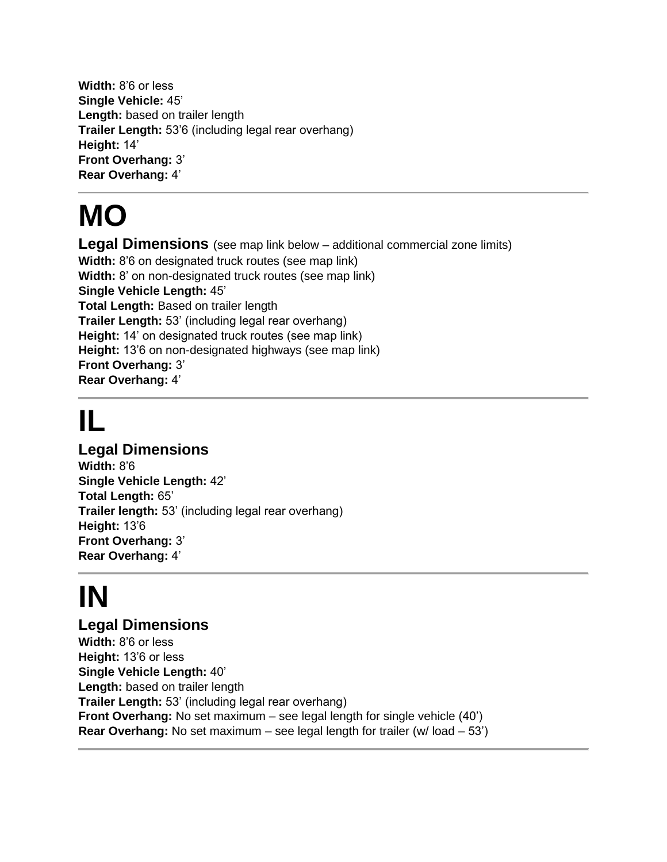**Width:** 8'6 or less **Single Vehicle:** 45' Length: based on trailer length **Trailer Length:** 53'6 (including legal rear overhang) **Height:** 14' **Front Overhang:** 3' **Rear Overhang:** 4'

### **MO**

**Legal Dimensions** (see map link below – additional commercial zone limits) **Width:** 8'6 on designated truck routes (see map link) **Width:** 8' on non-designated truck routes (see map link) **Single Vehicle Length:** 45' **Total Length:** Based on trailer length **Trailer Length:** 53' (including legal rear overhang) **Height:** 14' on designated truck routes (see map link) **Height:** 13'6 on non-designated highways (see map link) **Front Overhang:** 3' **Rear Overhang:** 4'

### **IL**

#### **Legal Dimensions**

**Width:** 8'6 **Single Vehicle Length:** 42' **Total Length:** 65' **Trailer length:** 53' (including legal rear overhang) **Height:** 13'6 **Front Overhang:** 3' **Rear Overhang:** 4'

# **IN**

#### **Legal Dimensions**

**Width:** 8'6 or less **Height:** 13'6 or less **Single Vehicle Length:** 40' Length: based on trailer length **Trailer Length:** 53' (including legal rear overhang) **Front Overhang:** No set maximum – see legal length for single vehicle (40') **Rear Overhang:** No set maximum – see legal length for trailer (w/ load – 53')